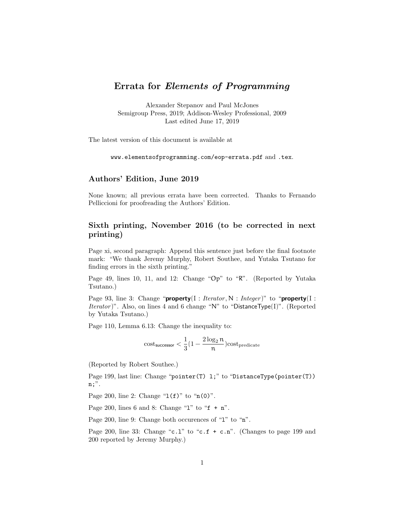# Errata for Elements of Programming

Alexander Stepanov and Paul McJones Semigroup Press, 2019; Addison-Wesley Professional, 2009 Last edited June 17, 2019

The latest version of this document is available at

www.elementsofprogramming.com/eop-errata.pdf and .tex.

### Authors' Edition, June 2019

None known; all previous errata have been corrected. Thanks to Fernando Pelliccioni for proofreading the Authors' Edition.

## Sixth printing, November 2016 (to be corrected in next printing)

Page xi, second paragraph: Append this sentence just before the final footnote mark: "We thank Jeremy Murphy, Robert Southee, and Yutaka Tsutano for finding errors in the sixth printing."

Page 49, lines 10, 11, and 12: Change "Op" to "R". (Reported by Yutaka Tsutano.)

Page 93, line 3: Change "**property**(I : *Iterator*, N : *Integer*)" to "**property**(I : *Iterator*)". Also, on lines 4 and 6 change "N" to "DistanceType(I)". (Reported by Yutaka Tsutano.)

Page 110, Lemma 6.13: Change the inequality to:

$$
\mathrm{cost}_{\mathsf{successor}} < \frac{1}{3}(1-\frac{2\log_2 n}{n}) \mathrm{cost}_{\mathsf{predicate}}
$$

(Reported by Robert Southee.)

Page 199, last line: Change "pointer(T) 1;" to "DistanceType(pointer(T)) n;".

Page 200, line 2: Change " $1(f)$ " to " $n(0)$ ".

Page 200, lines 6 and 8: Change "1" to " $f + n$ ".

Page 200, line 9: Change both occurences of "1" to "n".

Page 200, line 33: Change "c.1" to "c.f + c.n". (Changes to page 199 and 200 reported by Jeremy Murphy.)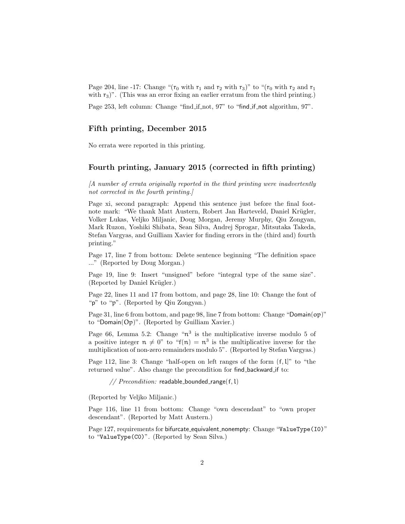Page 204, line -17: Change "( $r_0$  with  $r_1$  and  $r_2$  with  $r_3$ )" to "( $r_0$  with  $r_2$  and  $r_1$ with  $r_3$ ". (This was an error fixing an earlier erratum from the third printing.)

Page 253, left column: Change "find if not, 97" to "find if not algorithm, 97".

## Fifth printing, December 2015

No errata were reported in this printing.

## Fourth printing, January 2015 (corrected in fifth printing)

[A number of errata originally reported in the third printing were inadvertently not corrected in the fourth printing.]

Page xi, second paragraph: Append this sentence just before the final footnote mark: "We thank Matt Austern, Robert Jan Harteveld, Daniel Krügler, Volker Lukas, Veljko Miljanic, Doug Morgan, Jeremy Murphy, Qiu Zongyan, Mark Ruzon, Yoshiki Shibata, Sean Silva, Andrej Sprogar, Mitsutaka Takeda, Stefan Vargyas, and Guilliam Xavier for finding errors in the (third and) fourth printing."

Page 17, line 7 from bottom: Delete sentence beginning "The definition space ..." (Reported by Doug Morgan.)

Page 19, line 9: Insert "unsigned" before "integral type of the same size". (Reported by Daniel Krügler.)

Page 22, lines 11 and 17 from bottom, and page 28, line 10: Change the font of "p" to "p". (Reported by Qiu Zongyan.)

Page 31, line 6 from bottom, and page 98, line 7 from bottom: Change "Domain(op)" to "Domain(Op)". (Reported by Guilliam Xavier.)

Page 66, Lemma 5.2: Change " $n^3$  is the multiplicative inverse modulo 5 of a positive integer  $n \neq 0$ " to "f(n) =  $n^3$  is the multiplicative inverse for the multiplication of non-zero remainders modulo 5". (Reported by Stefan Vargyas.)

Page 112, line 3: Change "half-open on left ranges of the form  $(f, l]$ " to "the returned value". Also change the precondition for find backward if to:

//  $Precondition:$  readable\_bounded\_range(f, l)

(Reported by Veljko Miljanic.)

Page 116, line 11 from bottom: Change "own descendant" to "own proper descendant". (Reported by Matt Austern.)

Page 127, requirements for bifurcate\_equivalent\_nonempty: Change "ValueType(I0)" to "ValueType(C0)". (Reported by Sean Silva.)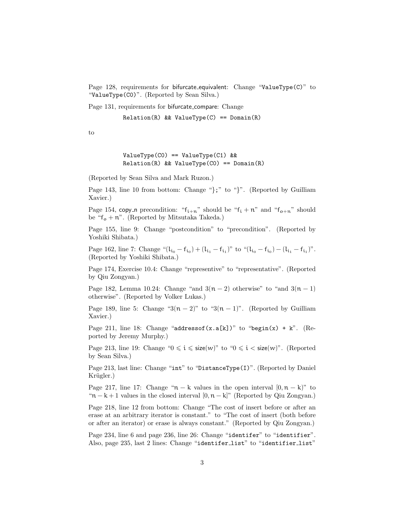Page 128, requirements for bifurcate\_equivalent: Change "ValueType(C)" to "ValueType(C0)". (Reported by Sean Silva.)

Page 131, requirements for bifurcate compare: Change

 $Relation(R)$  & ValueType(C) ==  $Domain(R)$ 

to

```
ValueType(C0) == ValueType(C1) &&
Relation(R) & ValueType(CO) == Domain(R)
```
(Reported by Sean Silva and Mark Ruzon.)

Page 143, line 10 from bottom: Change "};" to "}". (Reported by Guilliam Xavier.)

Page 154, copy n precondition: " $f_{i+n}$ " should be " $f_i + n$ " and " $f_{o+n}$ " should be " $f_o + n$ ". (Reported by Mitsutaka Takeda.)

Page 155, line 9: Change "postcondition" to "precondition". (Reported by Yoshiki Shibata.)

Page 162, line 7: Change " $(l_{i_0} - f_{i_0}) + (l_{i_1} - f_{i_1})$ " to " $(l_{i_0} - f_{i_0}) - (l_{i_1} - f_{i_1})$ ". (Reported by Yoshiki Shibata.)

Page 174, Exercise 10.4: Change "representive" to "representative". (Reported by Qiu Zongyan.)

Page 182, Lemma 10.24: Change "and  $3(n-2)$  otherwise" to "and  $3(n-1)$ otherwise". (Reported by Volker Lukas.)

Page 189, line 5: Change " $3(n-2)$ " to " $3(n-1)$ ". (Reported by Guilliam Xavier.)

Page 211, line 18: Change "addressof(x.a[k])" to "begin(x) + k". (Reported by Jeremy Murphy.)

Page 213, line 19: Change " $0 \le i \le size(w)$ " to " $0 \le i \le size(w)$ ". (Reported by Sean Silva.)

Page 213, last line: Change "int" to "DistanceType(I)". (Reported by Daniel Krügler.)

Page 217, line 17: Change " $n - k$  values in the open interval  $[0, n - k]$ " to " $n - k + 1$  values in the closed interval  $[0, n - k]$ " (Reported by Qiu Zongyan.)

Page 218, line 12 from bottom: Change "The cost of insert before or after an erase at an arbitrary iterator is constant." to "The cost of insert (both before or after an iterator) or erase is always constant." (Reported by Qiu Zongyan.)

Page 234, line 6 and page 236, line 26: Change "identifer" to "identifier". Also, page 235, last 2 lines: Change "identifer list" to "identifier list"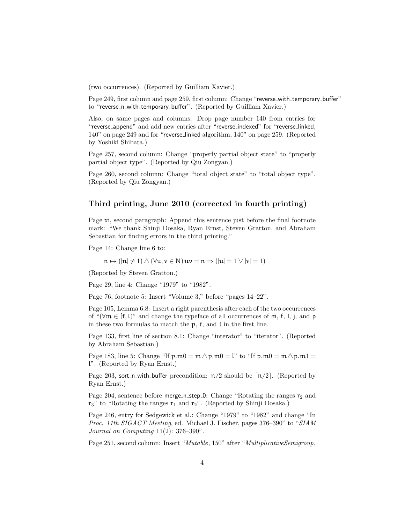(two occurrences). (Reported by Guilliam Xavier.)

Page 249, first column and page 259, first column: Change "reverse\_with\_temporary\_buffer" to "reverse\_n\_with\_temporary\_buffer". (Reported by Guilliam Xavier.)

Also, on same pages and columns: Drop page number 140 from entries for "reverse append" and add new entries after "reverse indexed" for "reverse linked, 140" on page 249 and for "reverse linked algorithm, 140" on page 259. (Reported by Yoshiki Shibata.)

Page 257, second column: Change "properly partial object state" to "properly partial object type". (Reported by Qiu Zongyan.)

Page 260, second column: Change "total object state" to "total object type". (Reported by Qiu Zongyan.)

### Third printing, June 2010 (corrected in fourth printing)

Page xi, second paragraph: Append this sentence just before the final footnote mark: "We thank Shinji Dosaka, Ryan Ernst, Steven Gratton, and Abraham Sebastian for finding errors in the third printing."

Page 14: Change line 6 to:

$$
\mathfrak{n} \mapsto (|\mathfrak{n}| \neq 1) \land (\forall \mathfrak{u}, \mathfrak{v} \in \mathsf{N}) \mathfrak{u} \mathfrak{v} = \mathfrak{n} \Rightarrow (|\mathfrak{u}| = 1 \lor |\mathfrak{v}| = 1)
$$

(Reported by Steven Gratton.)

Page 29, line 4: Change "1979" to "1982".

Page 76, footnote 5: Insert "Volume 3," before "pages 14–22".

Page 105, Lemma 6.8: Insert a right parenthesis after each of the two occurrences of " $(\forall m \in [f, l]$ " and change the typeface of all occurrences of m, f, l, j, and p in these two formulas to match the p, f, and l in the first line.

Page 133, first line of section 8.1: Change "interator" to "iterator". (Reported by Abraham Sebastian.)

Page 183, line 5: Change "If  $p.m0 = m \wedge p.m0 = l$ " to "If  $p.m0 = m \wedge p.m1 =$ l". (Reported by Ryan Ernst.)

Page 203, sort\_n\_with\_buffer precondition:  $\pi/2$  should be  $\lceil \pi/2 \rceil$ . (Reported by Ryan Ernst.)

Page 204, sentence before merge n\_step 0: Change "Rotating the ranges  $r_2$  and  $r_3$ " to "Rotating the ranges  $r_1$  and  $r_2$ ". (Reported by Shinji Dosaka.)

Page 246, entry for Sedgewick et al.: Change "1979" to "1982" and change "In Proc. 11th SIGACT Meeting, ed. Michael J. Fischer, pages 376–390" to "SIAM Journal on Computing  $11(2)$ : 376-390".

Page 251, second column: Insert "Mutable, 150" after "MultiplicativeSemigroup,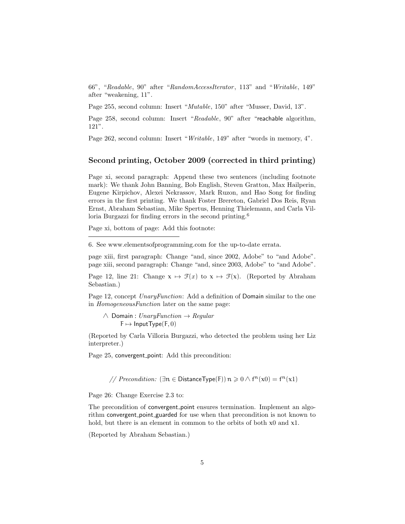66", "Readable, 90" after "RandomAccessIterator , 113" and "Writable, 149" after "weakening, 11".

Page 255, second column: Insert "Mutable, 150" after "Musser, David, 13".

Page 258, second column: Insert "Readable, 90" after "reachable algorithm, 121".

Page 262, second column: Insert "Writable, 149" after "words in memory, 4".

#### Second printing, October 2009 (corrected in third printing)

Page xi, second paragraph: Append these two sentences (including footnote mark): We thank John Banning, Bob English, Steven Gratton, Max Hailperin, Eugene Kirpichov, Alexei Nekrassov, Mark Ruzon, and Hao Song for finding errors in the first printing. We thank Foster Brereton, Gabriel Dos Reis, Ryan Ernst, Abraham Sebastian, Mike Spertus, Henning Thielemann, and Carla Villoria Burgazzi for finding errors in the second printing.<sup>6</sup>

Page xi, bottom of page: Add this footnote:

6. See www.elementsofprogramming.com for the up-to-date errata.

page xiii, first paragraph: Change "and, since 2002, Adobe" to "and Adobe". page xiii, second paragraph: Change "and, since 2003, Adobe" to "and Adobe".

Page 12, line 21: Change  $x \mapsto \mathcal{F}(x)$  to  $x \mapsto \mathcal{F}(x)$ . (Reported by Abraham Sebastian.)

Page 12, concept UnaryFunction: Add a definition of Domain similar to the one in HomogeneousFunction later on the same page:

 $\wedge$  Domain : UnaryFunction  $\rightarrow$  Regular  $F \mapsto$  InputType(F, 0)

(Reported by Carla Villoria Burgazzi, who detected the problem using her Liz interpreter.)

Page 25, convergent point: Add this precondition:

// Precondition: ( $\exists n \in \mathsf{DistanceType}(F)$ )  $n \geqslant 0 \wedge f^n(x0) = f^n(x1)$ 

Page 26: Change Exercise 2.3 to:

The precondition of convergent point ensures termination. Implement an algorithm convergent point guarded for use when that precondition is not known to hold, but there is an element in common to the orbits of both  $x0$  and  $x1$ .

(Reported by Abraham Sebastian.)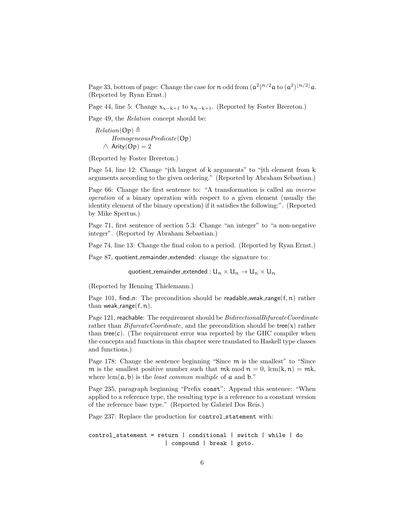Page 33, bottom of page: Change the case for n odd from  $(a^2)^{n/2}a$  to  $(a^2)^{\lfloor n/2 \rfloor}a$ . (Reported by Ryan Ernst.)

Page 44, line 5: Change  $x_{x-k+1}$  to  $x_{n-k+1}$ . (Reported by Foster Brereton.)

Page 49, the Relation concept should be:

 $Relation(\text{Op}) \triangleq$ HomogeneousPredicate(Op)  $\wedge$  Arity(Op) = 2

(Reported by Foster Brereton.)

Page 54, line 12: Change "jth largest of k arguments" to "jth element from k arguments according to the given ordering." (Reported by Abraham Sebastian.)

Page 66: Change the first sentence to: "A transformation is called an inverse operation of a binary operation with respect to a given element (usually the identity element of the binary operation) if it satisfies the following:". (Reported by Mike Spertus.)

Page 71, first sentence of section 5.3: Change "an integer" to "a non-negative integer". (Reported by Abraham Sebastian.)

Page 74, line 13: Change the final colon to a period. (Reported by Ryan Ernst.)

Page 87, quotient\_remainder\_extended: change the signature to:

quotient\_remainder\_extended :  $U_n \times U_n \rightarrow U_n \times U_n$ 

(Reported by Henning Thielemann.)

Page 101, find n: The precondition should be readable weak range $(f, n)$  rather than weak\_range $(f, n)$ .

Page 121, reachable: The requirement should be *BidirectionalBifurcateCoordinate* rather than  $Bifurcate Coordinate$ , and the precondition should be tree(x) rather than tree $(c)$ . (The requirement error was reported by the GHC compiler when the concepts and functions in this chapter were translated to Haskell type classes and functions.)

Page 178: Change the sentence beginning "Since m is the smallest" to "Since m is the smallest positive number such that mk mod  $n = 0$ , lcm(k, n) = mk, where  $lcm(\mathfrak{a}, \mathfrak{b})$  is the *least common multiple* of  $\mathfrak{a}$  and  $\mathfrak{b}$ ."

Page 235, paragraph beginning "Prefix const": Append this sentence: "When applied to a reference type, the resulting type is a reference to a constant version of the reference base type." (Reported by Gabriel Dos Reis.)

Page 237: Replace the production for control\_statement with:

control\_statement = return | conditional | switch | while | do | compound | break | goto.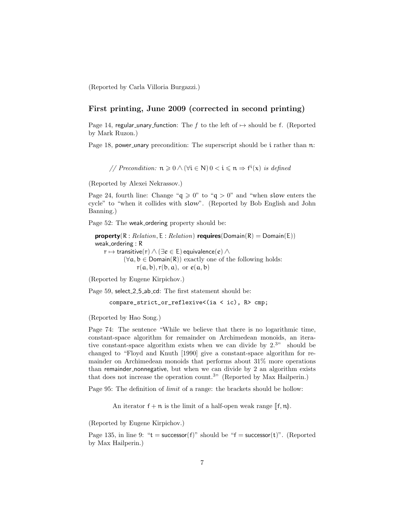(Reported by Carla Villoria Burgazzi.)

## First printing, June 2009 (corrected in second printing)

Page 14, regular unary function: The f to the left of  $\mapsto$  should be f. (Reported by Mark Ruzon.)

Page 18, power unary precondition: The superscript should be i rather than  $n$ :

// Precondition:  $n \geq 0 \wedge (\forall i \in N) 0 < i \leq n \Rightarrow f^{i}(x)$  is defined

(Reported by Alexei Nekrassov.)

Page 24, fourth line: Change " $q \ge 0$ " to " $q > 0$ " and "when slow enters the cycle" to "when it collides with slow". (Reported by Bob English and John Banning.)

Page 52: The weak ordering property should be:

**property**( $R : Relation, E : Relation$ ) **requires**( $Domain(R) = Domain(E)$ ) weak\_ordering : R  $r \mapsto$  transitive(r)  $\wedge$  ( $\exists e \in E$ ) equivalence(e)  $\wedge$  $(\forall a, b \in Domain(R))$  exactly one of the following holds:  $r(a, b), r(b, a), \text{ or } e(a, b)$ 

(Reported by Eugene Kirpichov.)

Page 59, select 2.5 ab cd: The first statement should be:

compare\_strict\_or\_reflexive<(ia < ic), R> cmp;

(Reported by Hao Song.)

Page 74: The sentence "While we believe that there is no logarithmic time, constant-space algorithm for remainder on Archimedean monoids, an iterative constant-space algorithm exists when we can divide by  $2.^{3"}$  should be changed to "Floyd and Knuth [1990] give a constant-space algorithm for remainder on Archimedean monoids that performs about 31% more operations than remainder nonnegative, but when we can divide by 2 an algorithm exists that does not increase the operation count.<sup>3"</sup> (Reported by Max Hailperin.)

Page 95: The definition of limit of a range: the brackets should be hollow:

An iterator  $f + n$  is the limit of a half-open weak range  $\llbracket f, n \rrbracket$ .

(Reported by Eugene Kirpichov.)

Page 135, in line 9: " $t =$  successor(f)" should be "f = successor(t)". (Reported by Max Hailperin.)